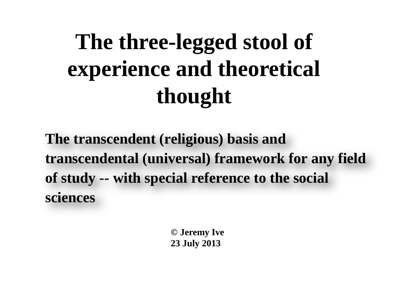# **The three-legged stool of experience and theoretical thought**

**The transcendent (religious) basis and transcendental (universal) framework for any field of study -- with special reference to the social sciences**

> **© Jeremy Ive 23 July 2013**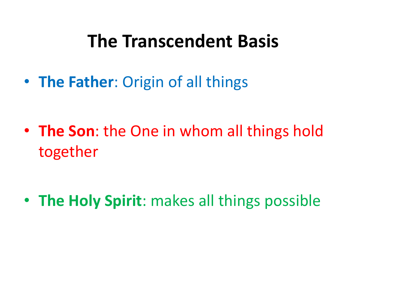#### **The Transcendent Basis**

• **The Father**: Origin of all things

• **The Son**: the One in whom all things hold together

• **The Holy Spirit**: makes all things possible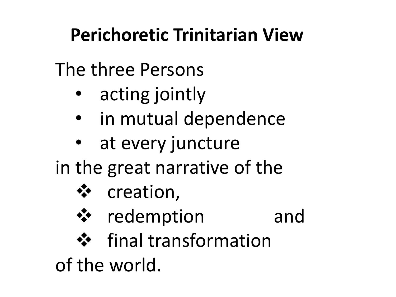## **Perichoretic Trinitarian View**

## The three Persons

- acting jointly
- in mutual dependence
- at every juncture
- in the great narrative of the
	- creation,
	-
	- \* redemption and
	- **❖** final transformation

of the world.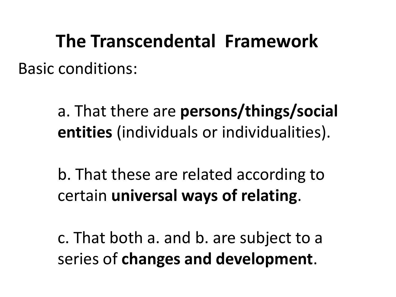# **The Transcendental Framework** Basic conditions:

a. That there are **persons/things/social entities** (individuals or individualities).

b. That these are related according to certain **universal ways of relating**.

c. That both a. and b. are subject to a series of **changes and development**.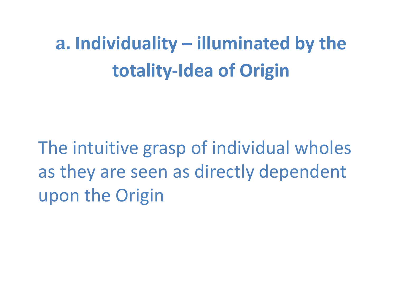# **a. Individuality – illuminated by the totality-Idea of Origin**

The intuitive grasp of individual wholes as they are seen as directly dependent upon the Origin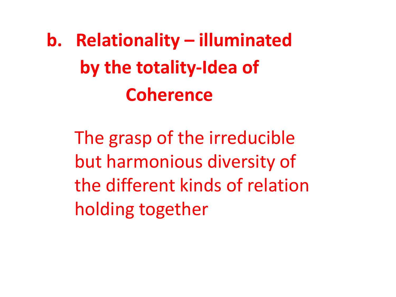**b. Relationality – illuminated by the totality-Idea of Coherence**

> The grasp of the irreducible but harmonious diversity of the different kinds of relation holding together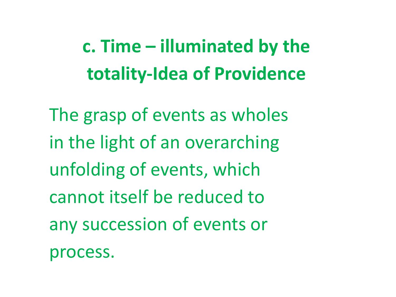**c. Time – illuminated by the totality-Idea of Providence**

The grasp of events as wholes in the light of an overarching unfolding of events, which cannot itself be reduced to any succession of events or process.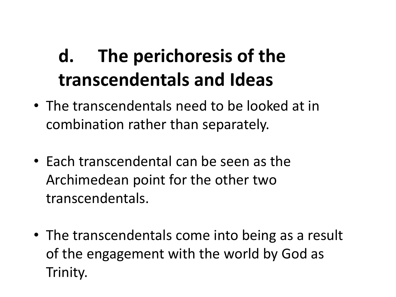## **d. The perichoresis of the transcendentals and Ideas**

- The transcendentals need to be looked at in combination rather than separately.
- Each transcendental can be seen as the Archimedean point for the other two transcendentals.
- The transcendentals come into being as a result of the engagement with the world by God as Trinity.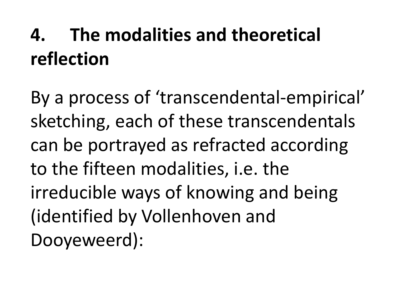## **4. The modalities and theoretical reflection**

By a process of 'transcendental-empirical' sketching, each of these transcendentals can be portrayed as refracted according to the fifteen modalities, i.e. the irreducible ways of knowing and being (identified by Vollenhoven and Dooyeweerd):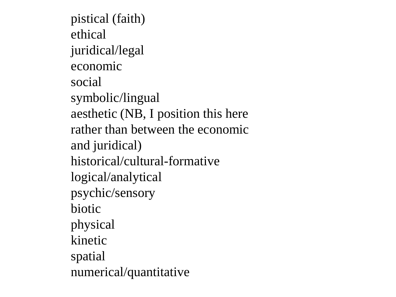pistical (faith) ethical juridical/legal economic social symbolic/lingual aesthetic (NB, I position this here rather than between the economic and juridical) historical/cultural-formative logical/analytical psychic/sensory biotic physical kinetic spatial numerical/quantitative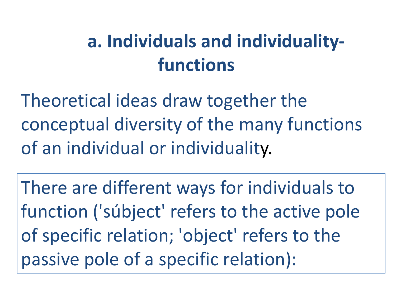## **a. Individuals and individualityfunctions**

Theoretical ideas draw together the conceptual diversity of the many functions of an individual or individuality.

There are different ways for individuals to function ('súbject' refers to the active pole of specific relation; 'object' refers to the passive pole of a specific relation):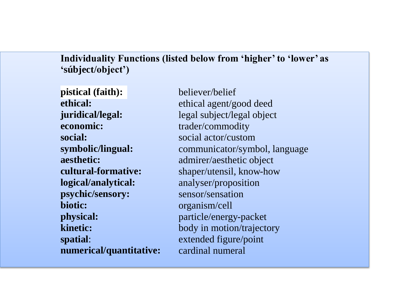**Individuality Functions (listed below from 'higher' to 'lower' as 'súbject/object')**

**pistical** (faith): believer/belief **ethical:** ethical agent/good deed **economic:** trader/commodity **social:** social actor/custom **logical/analytical:** analyser/proposition **psychic/sensory:** sensor/sensation **biotic:** organism/cell **physical:**  $particle/energy-packet$ **spatial:** extended figure/point **numerical/quantitative:** cardinal numeral

**juridical/legal:** legal subject/legal object **symbolic/lingual:** communicator/symbol, language **aesthetic:** admirer/aesthetic object **cultural-formative:** shaper/utensil, know-how **kinetic: body** in motion/trajectory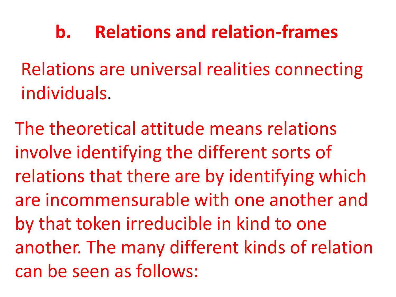### **b. Relations and relation-frames**

Relations are universal realities connecting individuals.

The theoretical attitude means relations involve identifying the different sorts of relations that there are by identifying which are incommensurable with one another and by that token irreducible in kind to one another. The many different kinds of relation can be seen as follows: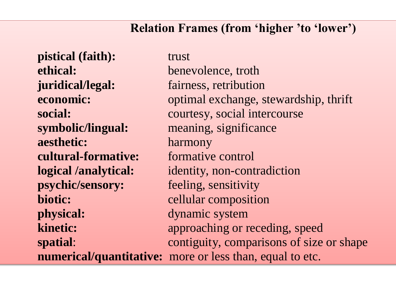#### **Relation Frames (from 'higher 'to 'lower')**

**pistical (faith):** trust **ethical:** benevolence, troth **juridical/legal:** fairness, retribution **aesthetic:** harmony **cultural-formative:** formative control **psychic/sensory:** feeling, sensitivity **physical: dynamic system** 

**economic:** optimal exchange, stewardship, thrift social: courtesy, social intercourse **symbolic/lingual:** meaning, significance **logical /analytical:** identity, non-contradiction **biotic:** cellular composition **kinetic:** approaching or receding, speed spatial: contiguity, comparisons of size or shape **numerical/quantitative:** more or less than, equal to etc.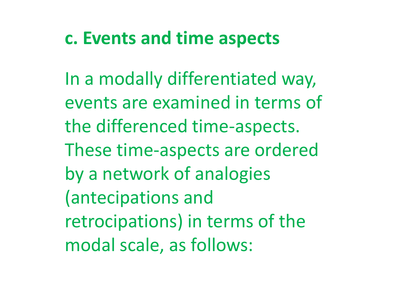#### **c. Events and time aspects**

In a modally differentiated way, events are examined in terms of the differenced time-aspects. These time-aspects are ordered by a network of analogies (antecipations and retrocipations) in terms of the modal scale, as follows: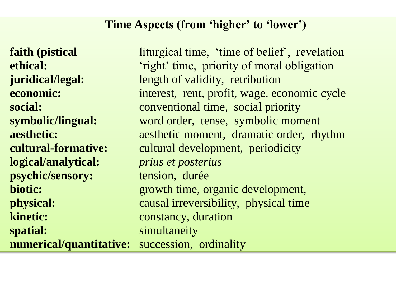#### **Time Aspects (from 'higher' to 'lower')**

**logical/analytical:** *prius et posterius* **psychic/sensory:** tension, durée **kinetic:** constancy, duration **spatial:** simultaneity

**faith (pistical liturgical time, 'time of belief', revelation ethical:**  $right'$  time, priority of moral obligation **juridical/legal:** length of validity, retribution **economic:** interest, rent, profit, wage, economic cycle **social:** conventional time, social priority **symbolic/lingual:** word order, tense, symbolic moment **aesthetic:** absorberic moment, dramatic order, rhythm **cultural-formative:** cultural development, periodicity **biotic:** growth time, organic development, **physical:** causal irreversibility, physical time **numerical/quantitative:** succession, ordinality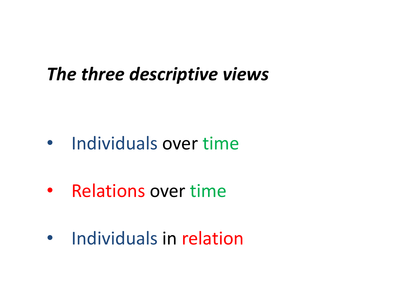#### *The three descriptive views*

- Individuals over time
- Relations over time
- Individuals in relation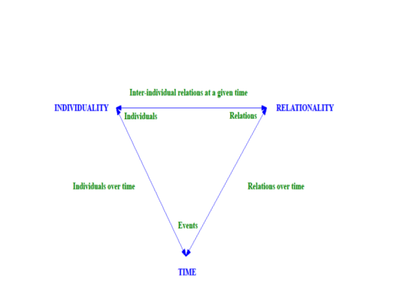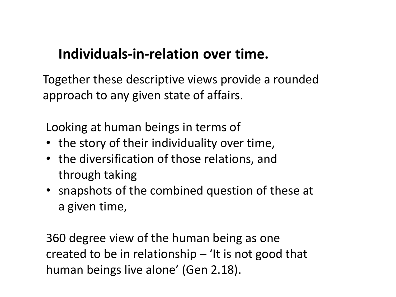#### **Individuals-in-relation over time.**

Together these descriptive views provide a rounded approach to any given state of affairs.

Looking at human beings in terms of

- the story of their individuality over time,
- the diversification of those relations, and through taking
- snapshots of the combined question of these at a given time,

360 degree view of the human being as one created to be in relationship  $-$  'It is not good that human beings live alone' (Gen 2.18).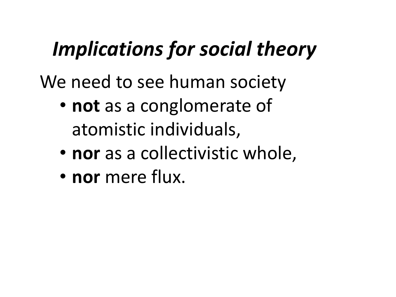# *Implications for social theory*

We need to see human society

- **not** as a conglomerate of atomistic individuals,
- **nor** as a collectivistic whole,
- **nor** mere flux.